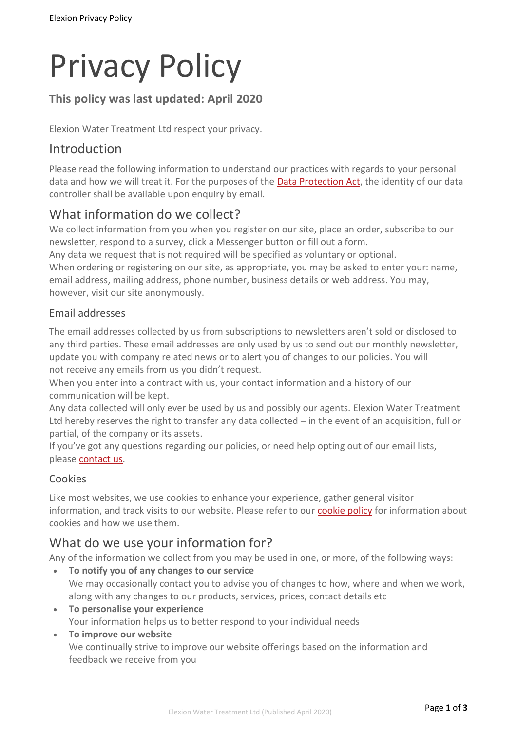# Privacy Policy

## **This policy was last updated: April 2020**

Elexion Water Treatment Ltd respect your privacy.

## Introduction

Please read the following information to understand our practices with regards to your personal data and how we will treat it. For the purposes of the Data Protection Act, the identity of our data controller shall be available upon enquiry by email.

# What information do we collect?

We collect information from you when you register on our site, place an order, subscribe to our newsletter, respond to a survey, click a Messenger button or fill out a form.

Any data we request that is not required will be specified as voluntary or optional. When ordering or registering on our site, as appropriate, you may be asked to enter your: name, email address, mailing address, phone number, business details or web address. You may, however, visit our site anonymously.

#### Email addresses

The email addresses collected by us from subscriptions to newsletters aren't sold or disclosed to any third parties. These email addresses are only used by us to send out our monthly newsletter, update you with company related news or to alert you of changes to our policies. You will not receive any emails from us you didn't request.

When you enter into a contract with us, your contact information and a history of our communication will be kept.

Any data collected will only ever be used by us and possibly our agents. Elexion Water Treatment Ltd hereby reserves the right to transfer any data collected – in the event of an acquisition, full or partial, of the company or its assets.

If you've got any questions regarding our policies, or need help opting out of our email lists, please [contact](https://www.elexion.uk/contact) us.

#### Cookies

Like most websites, we use cookies to enhance your experience, gather general visitor information, and track visits to our website. Please refer to our [cookie](https://www.elexion.uk/terms/cookie) policy for information about cookies and how we use them.

## What do we use your information for?

Any of the information we collect from you may be used in one, or more, of the following ways:

- **To notify you of any changes to our service** We may occasionally contact you to advise you of changes to how, where and when we work, along with any changes to our products, services, prices, contact details etc
- **To personalise your experience** Your information helps us to better respond to your individual needs
- **To improve our website** We continually strive to improve our website offerings based on the information and feedback we receive from you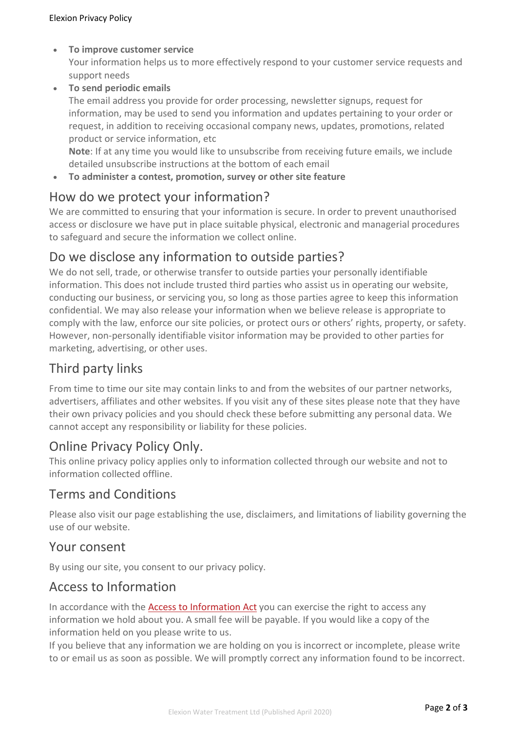- **To improve customer service** Your information helps us to more effectively respond to your customer service requests and support needs
- **To send periodic emails**

The email address you provide for order processing, newsletter signups, request for information, may be used to send you information and updates pertaining to your order or request, in addition to receiving occasional company news, updates, promotions, related product or service information, etc

**Note**: If at any time you would like to unsubscribe from receiving future emails, we include detailed unsubscribe instructions at the bottom of each email

• **To administer a contest, promotion, survey or other site feature**

## How do we protect your information?

We are committed to ensuring that your information is secure. In order to prevent unauthorised access or disclosure we have put in place suitable physical, electronic and managerial procedures to safeguard and secure the information we collect online.

#### Do we disclose any information to outside parties?

We do not sell, trade, or otherwise transfer to outside parties your personally identifiable information. This does not include trusted third parties who assist us in operating our website, conducting our business, or servicing you, so long as those parties agree to keep this information confidential. We may also release your information when we believe release is appropriate to comply with the law, enforce our site policies, or protect ours or others' rights, property, or safety. However, non-personally identifiable visitor information may be provided to other parties for marketing, advertising, or other uses.

## Third party links

From time to time our site may contain links to and from the websites of our partner networks, advertisers, affiliates and other websites. If you visit any of these sites please note that they have their own privacy policies and you should check these before submitting any personal data. We cannot accept any responsibility or liability for these policies.

## Online Privacy Policy Only.

This online privacy policy applies only to information collected through our website and not to information collected offline.

## Terms and Conditions

Please also visit our page establishing the use, disclaimers, and limitations of liability governing the use of our website.

#### Your consent

By using our site, you consent to our privacy policy.

## Access to Information

In accordance with the Access to [Information](http://www.legislation.gov.uk/ukpga/1985/43) Act you can exercise the right to access any information we hold about you. A small fee will be payable. If you would like a copy of the information held on you please write to us.

If you believe that any information we are holding on you is incorrect or incomplete, please write to or email us as soon as possible. We will promptly correct any information found to be incorrect.